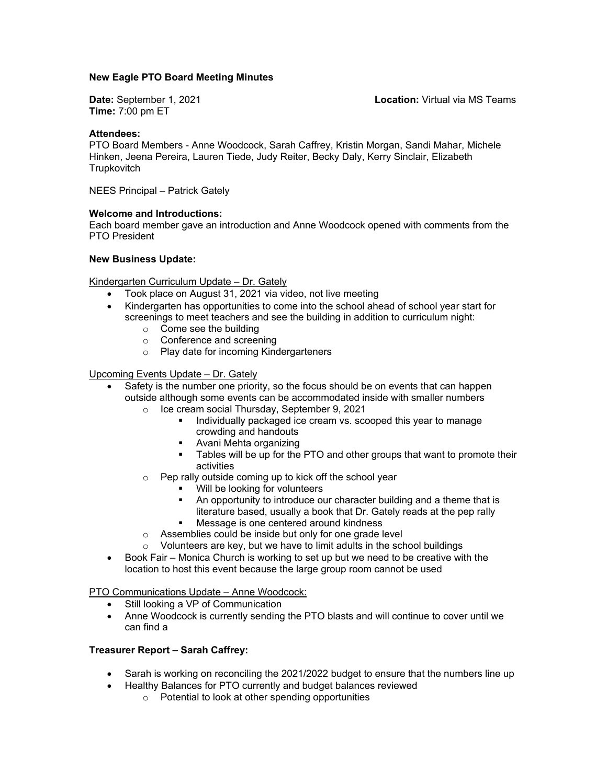#### **New Eagle PTO Board Meeting Minutes**

**Date:** September 1, 2021 **Location:** Virtual via MS Teams **Time:** 7:00 pm ET

#### **Attendees:**

PTO Board Members - Anne Woodcock, Sarah Caffrey, Kristin Morgan, Sandi Mahar, Michele Hinken, Jeena Pereira, Lauren Tiede, Judy Reiter, Becky Daly, Kerry Sinclair, Elizabeth **Trupkovitch** 

NEES Principal – Patrick Gately

#### **Welcome and Introductions:**

Each board member gave an introduction and Anne Woodcock opened with comments from the PTO President

#### **New Business Update:**

Kindergarten Curriculum Update – Dr. Gately

- Took place on August 31, 2021 via video, not live meeting
- Kindergarten has opportunities to come into the school ahead of school year start for screenings to meet teachers and see the building in addition to curriculum night:
	- o Come see the building
	- o Conference and screening
	- o Play date for incoming Kindergarteners

Upcoming Events Update – Dr. Gately

- Safety is the number one priority, so the focus should be on events that can happen outside although some events can be accommodated inside with smaller numbers
	- o Ice cream social Thursday, September 9, 2021
		- Individually packaged ice cream vs. scooped this year to manage crowding and handouts
		- Avani Mehta organizing
		- Tables will be up for the PTO and other groups that want to promote their activities
	- Pep rally outside coming up to kick off the school year
		- **Will be looking for volunteers**
		- **An opportunity to introduce our character building and a theme that is** literature based, usually a book that Dr. Gately reads at the pep rally
		- Message is one centered around kindness
	- o Assemblies could be inside but only for one grade level
	- $\circ$  Volunteers are key, but we have to limit adults in the school buildings
- Book Fair Monica Church is working to set up but we need to be creative with the location to host this event because the large group room cannot be used

PTO Communications Update – Anne Woodcock:

- Still looking a VP of Communication
- Anne Woodcock is currently sending the PTO blasts and will continue to cover until we can find a

#### **Treasurer Report – Sarah Caffrey:**

- Sarah is working on reconciling the 2021/2022 budget to ensure that the numbers line up
- Healthy Balances for PTO currently and budget balances reviewed
	- o Potential to look at other spending opportunities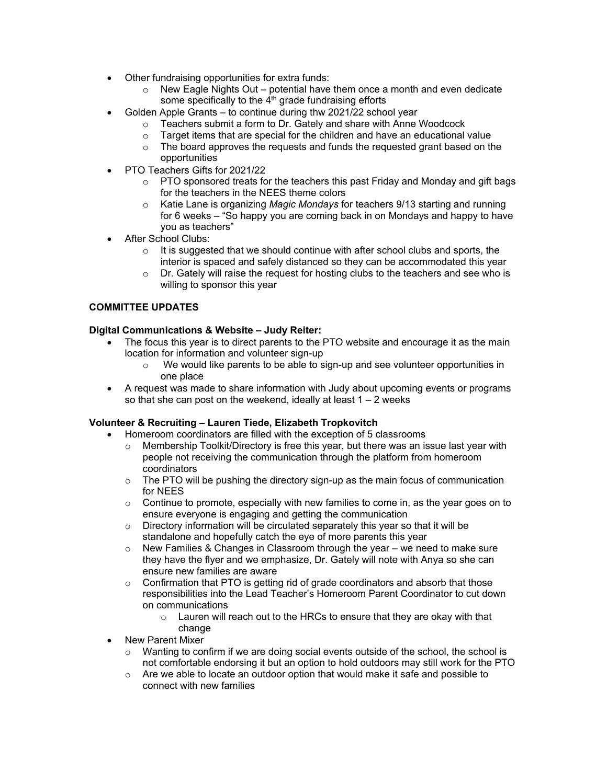- Other fundraising opportunities for extra funds:
	- $\circ$  New Eagle Nights Out potential have them once a month and even dedicate some specifically to the  $4<sup>th</sup>$  grade fundraising efforts
- Golden Apple Grants to continue during thw 2021/22 school year
	- o Teachers submit a form to Dr. Gately and share with Anne Woodcock
	- $\circ$  Target items that are special for the children and have an educational value
	- $\circ$  The board approves the requests and funds the requested grant based on the opportunities
- PTO Teachers Gifts for 2021/22
	- $\circ$  PTO sponsored treats for the teachers this past Friday and Monday and gift bags for the teachers in the NEES theme colors
	- o Katie Lane is organizing *Magic Mondays* for teachers 9/13 starting and running for 6 weeks – "So happy you are coming back in on Mondays and happy to have you as teachers"
- After School Clubs:
	- $\circ$  It is suggested that we should continue with after school clubs and sports, the interior is spaced and safely distanced so they can be accommodated this year
	- $\circ$  Dr. Gately will raise the request for hosting clubs to the teachers and see who is willing to sponsor this year

# **COMMITTEE UPDATES**

### **Digital Communications & Website – Judy Reiter:**

- The focus this year is to direct parents to the PTO website and encourage it as the main location for information and volunteer sign-up
	- o We would like parents to be able to sign-up and see volunteer opportunities in one place
- A request was made to share information with Judy about upcoming events or programs so that she can post on the weekend, ideally at least  $1 - 2$  weeks

### **Volunteer & Recruiting – Lauren Tiede, Elizabeth Tropkovitch**

- Homeroom coordinators are filled with the exception of 5 classrooms
	- $\circ$  Membership Toolkit/Directory is free this year, but there was an issue last year with people not receiving the communication through the platform from homeroom coordinators
	- $\circ$  The PTO will be pushing the directory sign-up as the main focus of communication for NEES
	- $\circ$  Continue to promote, especially with new families to come in, as the year goes on to ensure everyone is engaging and getting the communication
	- $\circ$  Directory information will be circulated separately this year so that it will be standalone and hopefully catch the eye of more parents this year
	- $\circ$  New Families & Changes in Classroom through the year we need to make sure they have the flyer and we emphasize, Dr. Gately will note with Anya so she can ensure new families are aware
	- $\circ$  Confirmation that PTO is getting rid of grade coordinators and absorb that those responsibilities into the Lead Teacher's Homeroom Parent Coordinator to cut down on communications
		- o Lauren will reach out to the HRCs to ensure that they are okay with that change
- New Parent Mixer
	- $\circ$  Wanting to confirm if we are doing social events outside of the school, the school is not comfortable endorsing it but an option to hold outdoors may still work for the PTO
	- $\circ$  Are we able to locate an outdoor option that would make it safe and possible to connect with new families